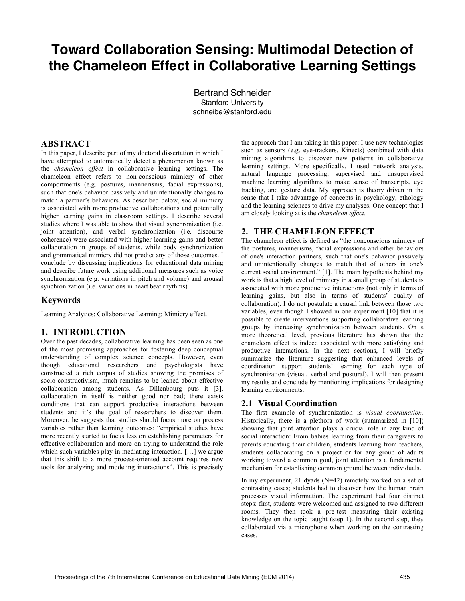# **Toward Collaboration Sensing: Multimodal Detection of the Chameleon Effect in Collaborative Learning Settings**

Bertrand Schneider Stanford University schneibe@stanford.edu

# **ABSTRACT**

In this paper, I describe part of my doctoral dissertation in which I have attempted to automatically detect a phenomenon known as the *chameleon effect* in collaborative learning settings. The chameleon effect refers to non-conscious mimicry of other comportments (e.g. postures, mannerisms, facial expressions), such that one's behavior passively and unintentionally changes to match a partner's behaviors. As described below, social mimicry is associated with more productive collaborations and potentially higher learning gains in classroom settings. I describe several studies where I was able to show that visual synchronization (i.e. joint attention), and verbal synchronization (i.e. discourse coherence) were associated with higher learning gains and better collaboration in groups of students, while body synchronization and grammatical mimicry did not predict any of those outcomes. I conclude by discussing implications for educational data mining and describe future work using additional measures such as voice synchronization (e.g. variations in pitch and volume) and arousal synchronization (i.e. variations in heart beat rhythms).

## **Keywords**

Learning Analytics; Collaborative Learning; Mimicry effect.

# **1. INTRODUCTION**

Over the past decades, collaborative learning has been seen as one of the most promising approaches for fostering deep conceptual understanding of complex science concepts. However, even though educational researchers and psychologists have constructed a rich corpus of studies showing the promises of socio-constructivism, much remains to be leaned about effective collaboration among students. As Dillenbourg puts it [3], collaboration in itself is neither good nor bad; there exists conditions that can support productive interactions between students and it's the goal of researchers to discover them. Moreover, he suggests that studies should focus more on process variables rather than learning outcomes: "empirical studies have more recently started to focus less on establishing parameters for effective collaboration and more on trying to understand the role which such variables play in mediating interaction. […] we argue that this shift to a more process-oriented account requires new tools for analyzing and modeling interactions". This is precisely

the approach that I am taking in this paper: I use new technologies such as sensors (e.g. eye-trackers, Kinects) combined with data mining algorithms to discover new patterns in collaborative learning settings. More specifically, I used network analysis, natural language processing, supervised and unsupervised machine learning algorithms to make sense of transcripts, eye tracking, and gesture data. My approach is theory driven in the sense that I take advantage of concepts in psychology, ethology and the learning sciences to drive my analyses. One concept that I am closely looking at is the *chameleon effect*.

# **2. THE CHAMELEON EFFECT**

The chameleon effect is defined as "the nonconscious mimicry of the postures, mannerisms, facial expressions and other behaviors of one's interaction partners, such that one's behavior passively and unintentionally changes to match that of others in one's current social environment." [1]. The main hypothesis behind my work is that a high level of mimicry in a small group of students is associated with more productive interactions (not only in terms of learning gains, but also in terms of students' quality of collaboration). I do not postulate a causal link between those two variables, even though I showed in one experiment [10] that it is possible to create interventions supporting collaborative learning groups by increasing synchronization between students. On a more theoretical level, previous literature has shown that the chameleon effect is indeed associated with more satisfying and productive interactions. In the next sections, I will briefly summarize the literature suggesting that enhanced levels of coordination support students' learning for each type of synchronization (visual, verbal and postural). I will then present my results and conclude by mentioning implications for designing learning environments.

#### **2.1 Visual Coordination**

The first example of synchronization is *visual coordination*. Historically, there is a plethora of work (summarized in [10]) showing that joint attention plays a crucial role in any kind of social interaction: From babies learning from their caregivers to parents educating their children, students learning from teachers, students collaborating on a project or for any group of adults working toward a common goal, joint attention is a fundamental mechanism for establishing common ground between individuals.

In my experiment, 21 dyads (N=42) remotely worked on a set of contrasting cases; students had to discover how the human brain processes visual information. The experiment had four distinct steps: first, students were welcomed and assigned to two different rooms. They then took a pre-test measuring their existing knowledge on the topic taught (step 1). In the second step, they collaborated via a microphone when working on the contrasting cases.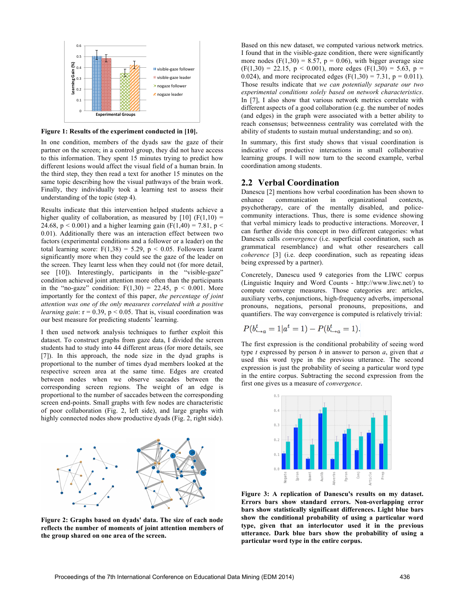

**Figure 1: Results of the experiment conducted in [10].**

In one condition, members of the dyads saw the gaze of their partner on the screen; in a control group, they did not have access to this information. They spent 15 minutes trying to predict how different lesions would affect the visual field of a human brain. In the third step, they then read a text for another 15 minutes on the same topic describing how the visual pathways of the brain work. Finally, they individually took a learning test to assess their understanding of the topic (step 4).

Results indicate that this intervention helped students achieve a higher quality of collaboration, as measured by  $[10]$  (F(1,10) = 24.68,  $p < 0.001$ ) and a higher learning gain (F(1,40) = 7.81,  $p <$ 0.01). Additionally there was an interaction effect between two factors (experimental conditions and a follower or a leader) on the total learning score:  $F(1,38) = 5.29$ ,  $p < 0.05$ . Followers learnt significantly more when they could see the gaze of the leader on the screen. They learnt less when they could not (for more detail, see [10]). Interestingly, participants in the "visible-gaze" condition achieved joint attention more often than the participants in the "no-gaze" condition:  $F(1,30) = 22.45$ ,  $p < 0.001$ . More importantly for the context of this paper, *the percentage of joint attention was one of the only measures correlated with a positive learning gain*:  $r = 0.39$ ,  $p < 0.05$ . That is, visual coordination was our best measure for predicting students' learning.

I then used network analysis techniques to further exploit this dataset. To construct graphs from gaze data, I divided the screen students had to study into 44 different areas (for more details, see [7]). In this approach, the node size in the dyad graphs is proportional to the number of times dyad members looked at the respective screen area at the same time. Edges are created between nodes when we observe saccades between the corresponding screen regions. The weight of an edge is proportional to the number of saccades between the corresponding screen end-points. Small graphs with few nodes are characteristic of poor collaboration (Fig. 2, left side), and large graphs with highly connected nodes show productive dyads (Fig. 2, right side).



**Figure 2: Graphs based on dyads' data. The size of each node reflects the number of moments of joint attention members of the group shared on one area of the screen.**

Based on this new dataset, we computed various network metrics. I found that in the visible-gaze condition, there were significantly more nodes (F(1,30) = 8.57,  $p = 0.06$ ), with bigger average size  $(F(1,30) = 22.15, p < 0.001)$ , more edges  $(F(1,30) = 5.63, p =$ 0.024), and more reciprocated edges ( $F(1,30) = 7.31$ ,  $p = 0.011$ ). Those results indicate that *we can potentially separate our two experimental conditions solely based on network characteristics*. In [7], I also show that various network metrics correlate with different aspects of a good collaboration (e.g. the number of nodes (and edges) in the graph were associated with a better ability to reach consensus; betweenness centrality was correlated with the ability of students to sustain mutual understanding; and so on).

In summary, this first study shows that visual coordination is indicative of productive interactions in small collaborative learning groups. I will now turn to the second example, verbal coordination among students.

#### **2.2 Verbal Coordination**

Danescu [2] mentions how verbal coordination has been shown to enhance communication in organizational contexts, psychotherapy, care of the mentally disabled, and policecommunity interactions. Thus, there is some evidence showing that verbal mimicry leads to productive interactions. Moreover, I can further divide this concept in two different categories: what Danescu calls *convergence* (i.e. superficial coordination, such as grammatical resemblance) and what other researchers call *coherence* [3] (i.e. deep coordination, such as repeating ideas being expressed by a partner).

Concretely, Danescu used 9 categories from the LIWC corpus (Linguistic Inquiry and Word Counts - http://www.liwc.net/) to compute converge measures. Those categories are: articles, auxiliary verbs, conjunctions, high-frequency adverbs, impersonal pronouns, negations, personal pronouns, prepositions, and quantifiers. The way convergence is computed is relatively trivial:

$$
P(b_{\rightarrow a}^t = 1 | a^t = 1) - P(b_{\rightarrow a}^t = 1).
$$

The first expression is the conditional probability of seeing word type *t* expressed by person *b* in answer to person *a*, given that *a*  used this word type in the previous utterance. The second expression is just the probability of seeing a particular word type in the entire corpus. Subtracting the second expression from the first one gives us a measure of *convergence*.



**Figure 3: A replication of Danescu's results on my dataset. Errors bars show standard errors. Non-overlapping error bars show statistically significant differences. Light blue bars show the conditional probability of using a particular word type, given that an interlocutor used it in the previous utterance. Dark blue bars show the probability of using a particular word type in the entire corpus.**